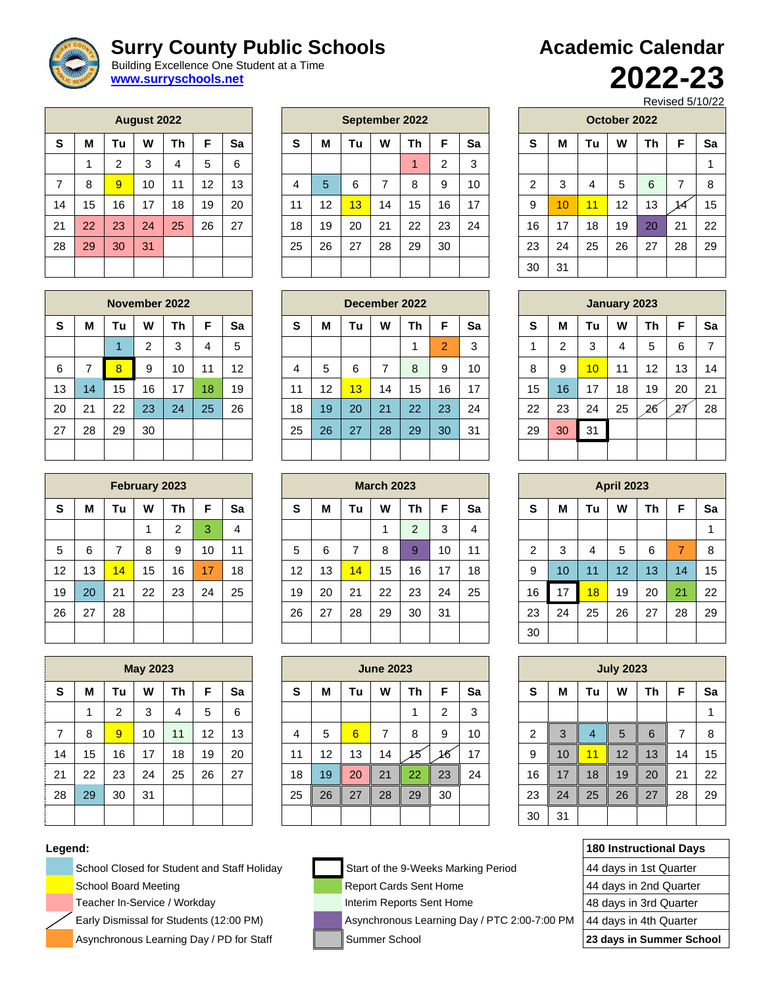# **Surry County Public Schools**

 Building Excellence One Student at a Time **[www.surryschools.net](http://www.surryschools.net/)**

|    |    |                | <b>August 2022</b> |    |    |    |
|----|----|----------------|--------------------|----|----|----|
| S  | М  | Tu             | W                  | Th | F  | Sa |
|    | 1  | $\overline{2}$ | 3                  | 4  | 5  | 6  |
| 7  | 8  | 9              | 10                 | 11 | 12 | 13 |
| 14 | 15 | 16             | 17                 | 18 | 19 | 20 |
| 21 | 22 | 23             | 24                 | 25 | 26 | 27 |
| 28 | 29 | 30             | 31                 |    |    |    |
|    |    |                |                    |    |    |    |

|                |    |    | <b>August 2022</b> |    |    |    |    |    |    |    | September 2022 |         |    |    |                 |    | October 2022      |    |                          |    |
|----------------|----|----|--------------------|----|----|----|----|----|----|----|----------------|---------|----|----|-----------------|----|-------------------|----|--------------------------|----|
| S              | М  | Tu | W                  | Th | F  | Sa | S  | M  | Tu | W  | Τh             | F       | Sa | S  | M               | Τu | W                 | Τh | F                        | Sa |
|                |    | 2  | 3                  | 4  | 5  | 6  |    |    |    |    |                | C.<br>∠ | 3  |    |                 |    |                   |    |                          | 1  |
| $\overline{7}$ | 8  | 9  | 10                 | 11 | 12 | 13 | 4  | 5  | 6  |    | 8              | 9       | 10 | ົ  | 3               | 4  | 5                 | 6  | $\overline{\phantom{a}}$ | 8  |
| 14             | 15 | 16 | 17                 | 18 | 19 | 20 | 11 | 12 | 13 | 14 | 15             | 16      | 17 | 9  | 10 <sup>°</sup> | 11 | $12 \overline{ }$ | 13 | 14                       | 15 |
| 21             | 22 | 23 | 24                 | 25 | 26 | 27 | 18 | 19 | 20 | 21 | 22             | 23      | 24 | 16 | 17              | 18 | 19                | 20 | 21                       | 22 |
| 28             | 29 | 30 | 31                 |    |    |    | 25 | 26 | 27 | 28 | 29             | 30      |    | 23 | 24              | 25 | 26                | 27 | 28                       | 29 |
|                |    |    |                    |    |    |    |    |    |    |    |                |         |    | 30 | 31              |    |                   |    |                          |    |

| <b>Academic Calendar</b> |         |
|--------------------------|---------|
|                          | 2022-23 |

Revised 5/10/22

|                |    |    | October 2022 |    |    |    |
|----------------|----|----|--------------|----|----|----|
| S              | M  | Tu | w            | Τh | F  | Sa |
|                |    |    |              |    |    | 1  |
| $\overline{c}$ | 3  | 4  | 5            | 6  | 7  | 8  |
| 9              | 10 | 11 | 12           | 13 |    | 15 |
| 16             | 17 | 18 | 19           | 20 | 21 | 22 |
| 23             | 24 | 25 | 26           | 27 | 28 | 29 |
| 30             | 31 |    |              |    |    |    |

|    |    |    |        | November 2022 |    |    |                                    |    |    |    | December 2022 |    |    |    |                 |                 | January 2023 |    |    |    |
|----|----|----|--------|---------------|----|----|------------------------------------|----|----|----|---------------|----|----|----|-----------------|-----------------|--------------|----|----|----|
| S  | M  | Tu | W      | Τh            | F  | Sa | M<br>F<br>Sa<br>W<br>S<br>Tu<br>Τh |    |    |    |               |    |    | S  | M               | Tu              | W            | Τh | F  | Sa |
|    |    |    | ົ<br>ے | 3             | 4  | 5  |                                    |    |    |    |               | 2  | 3  |    | 2               | 3               | 4            | 5  | 6  |    |
| 6  |    | 8  | 9      | 10            | 11 | 12 | 4                                  | 5  | 6  |    | 8             | 9  | 10 | 8  | 9               | 10 <sup>1</sup> | 11           | 12 | 13 | 14 |
| 13 | 14 | 15 | 16     | 17            | 18 | 19 | 11                                 | 12 | 13 | 14 | 15            | 16 | 17 | 15 | 16 <sup>°</sup> | 17              | 18           | 19 | 20 | 21 |
| 20 | 21 | 22 | 23     | 24            | 25 | 26 | 18                                 | 19 | 20 | 21 | 22            | 23 | 24 | 22 | 23              | 24              | 25           | 26 | 27 | 28 |
| 27 | 28 | 29 | 30     |               |    |    | 25                                 | 26 | 27 | 28 | 29            | 30 | 31 | 29 | 30              | 31              |              |    |    |    |
|    |    |    |        |               |    |    |                                    |    |    |    |               |    |    |    |                 |                 |              |    |    |    |

|    |    |    | February 2023 |           |    |                |    |    |                 | <b>March 2023</b> |    |    |    |    |    |    | <b>April 2023</b> |    |    |    |
|----|----|----|---------------|-----------|----|----------------|----|----|-----------------|-------------------|----|----|----|----|----|----|-------------------|----|----|----|
| S  | M  | Tu | W             | <b>Th</b> | F  | Sa             | S  | М  | Τu              | W                 | Th | F  | Sa | S  | M  | Tu | W                 | Th | F  | Sa |
|    |    |    |               | າ         | 3  | $\overline{4}$ |    |    |                 |                   | C  | 3  | 4  |    |    |    |                   |    |    |    |
| 5  | 6  |    | 8             | 9         | 10 | 11             | 5  | 6  |                 | 8                 | 9  | 10 | 11 | ◠  | 3  | 4  | 5                 | 6  | 7  |    |
| 12 | 13 | 14 | 15            | 16        | 17 | 18             | 12 | 13 | $\overline{14}$ | 15                | 16 | 17 | 18 | 9  | 10 | 11 | 12                | 13 | 14 | 15 |
| 19 | 20 | 21 | 22            | 23        | 24 | 25             | 19 | 20 | 21              | 22                | 23 | 24 | 25 | 16 | 17 | 18 | 19                | 20 | 21 | 22 |
| 26 | 27 | 28 |               |           |    |                | 26 | 27 | 28              | 29                | 30 | 31 |    | 23 | 24 | 25 | 26                | 27 | 28 | 29 |
|    |    |    |               |           |    |                |    |    |                 |                   |    |    |    | 30 |    |    |                   |    |    |    |

|                |    |                | <b>July 2023</b> |                 |    |    |
|----------------|----|----------------|------------------|-----------------|----|----|
| ${\bf S}$      | M  | Tu             | Th               | F               | Sa |    |
|                |    |                |                  |                 |    | 1  |
| $\overline{c}$ | 3  | $\overline{4}$ | 5                | $6\phantom{1}6$ | 7  | 8  |
| 9              | 10 | 11             | 12               | 13              | 14 | 15 |
| 16             | 17 | 18             | 19               | 20              | 21 | 22 |
| 23             | 24 | 25             | 26               | 27              | 28 | 29 |
| 30             | 31 |                |                  |                 |    |    |

| Legend: |                                             |                                              | <b>180 Instructional Days</b> |
|---------|---------------------------------------------|----------------------------------------------|-------------------------------|
|         | School Closed for Student and Staff Holiday | Start of the 9-Weeks Marking Period          | 44 days in 1st Quarter        |
|         | <b>School Board Meeting</b>                 | <b>Report Cards Sent Home</b>                | 44 days in 2nd Quarter        |
|         | Teacher In-Service / Workday                | Interim Reports Sent Home                    | 48 days in 3rd Quarter        |
|         | Early Dismissal for Students (12:00 PM)     | Asynchronous Learning Day / PTC 2:00-7:00 PM | 44 days in 4th Quarter        |
|         | Asynchronous Learning Day / PD for Staff    | Summer School                                | 23 days in Summer School      |

|    |    |    |    | November 2022 |    |    |    |    |    |    | December 2022 |                |    |    |    |
|----|----|----|----|---------------|----|----|----|----|----|----|---------------|----------------|----|----|----|
| S  | M  | Tu | w  | Th            | F  | Sa | S  | M  | Tu | w  | Th            | F              | Sa | S  | M  |
|    |    | и  | 2  | 3             | 4  | 5  |    |    |    |    | 1             | $\overline{2}$ | 3  |    | 2  |
| 6  | 7  | 8  | 9  | 10            | 11 | 12 | 4  | 5  | 6  | 7  | 8             | 9              | 10 | 8  | 9  |
| 13 | 14 | 15 | 16 | 17            | 18 | 19 | 11 | 12 | 13 | 14 | 15            | 16             | 17 | 15 | 16 |
| 20 | 21 | 22 | 23 | 24            | 25 | 26 | 18 | 19 | 20 | 21 | 22            | 23             | 24 | 22 | 23 |
| 27 | 28 | 29 | 30 |               |    |    | 25 | 26 | 27 | 28 | 29            | 30             | 31 | 29 | 30 |
|    |    |    |    |               |    |    |    |    |    |    |               |                |    |    |    |

|    |    |    | February 2023 |    |    |    |
|----|----|----|---------------|----|----|----|
| S  | M  | Tu | W             | Th | F  | Sa |
|    |    |    | 1             | 2  | 3  | 4  |
| 5  | 6  | 7  | 8             | 9  | 10 | 11 |
| 12 | 13 | 14 | 15            | 16 | 17 | 18 |
| 19 | 20 | 21 | 22            | 23 | 24 | 25 |
| 26 | 27 | 28 |               |    |    |    |
|    |    |    |               |    |    |    |

|                |          |                | <b>May 2023</b> |    |    |    |
|----------------|----------|----------------|-----------------|----|----|----|
| S              | M        | Tu             | W               | Th | F  | Sa |
|                | 1        | $\overline{2}$ | 3               | 4  | 5  | 6  |
| $\overline{7}$ | 8        | 9              | 10              | 11 | 12 | 13 |
| 14             | 15       | 16             | 17              | 18 | 19 | 20 |
| 21             | 22       | 23             | 24              | 25 | 26 | 27 |
| 28             | 29<br>30 |                | 31              |    |    |    |
|                |          |                |                 |    |    |    |



|                |    |    | <b>May 2023</b> |    |    |    |    |    |    | <b>June 2023</b> |    |        |    |        |    |    | <b>July 2023</b> |    |    |    |
|----------------|----|----|-----------------|----|----|----|----|----|----|------------------|----|--------|----|--------|----|----|------------------|----|----|----|
| S              | м  | Τu | W               | Th | F  | Sa | S  | M  | Τu | W                | Τh | F      | Sa | s      | M  | Tu | W                | Τh | F  | Sa |
|                |    | າ  | 3               | 4  | 5  | 6  |    |    |    |                  |    | າ<br>ے | 3  |        |    |    |                  |    |    | 1  |
| $\overline{7}$ | 8  | 9  | 10              | 11 | 12 | 13 | 4  | 5  | 6  |                  | 8  | 9      | 10 | C<br>∠ | 3  | 4  | 5                | 6  | ⇁  | -8 |
| 14             | 15 | 16 | 17              | 18 | 19 | 20 | 11 | 12 | 13 | 14               | 15 | 16     | 17 | 9      | 10 | 11 | 12               | 13 | 14 | 15 |
| 21             | 22 | 23 | 24              | 25 | 26 | 27 | 18 | 19 | 20 | 21               | 22 | 23     | 24 | 16     | 17 | 18 | 19               | 20 | 21 | 22 |
| 28             | 29 | 30 | 31              |    |    |    | 25 | 26 | 27 | 28               | 29 | 30     |    | 23     | 24 | 25 | 26               | 27 | 28 | 29 |
|                |    |    |                 |    |    |    |    |    |    |                  |    |        |    | 30     | 31 |    |                  |    |    |    |

|  | ÷.<br>E |
|--|---------|
|  | ۳       |